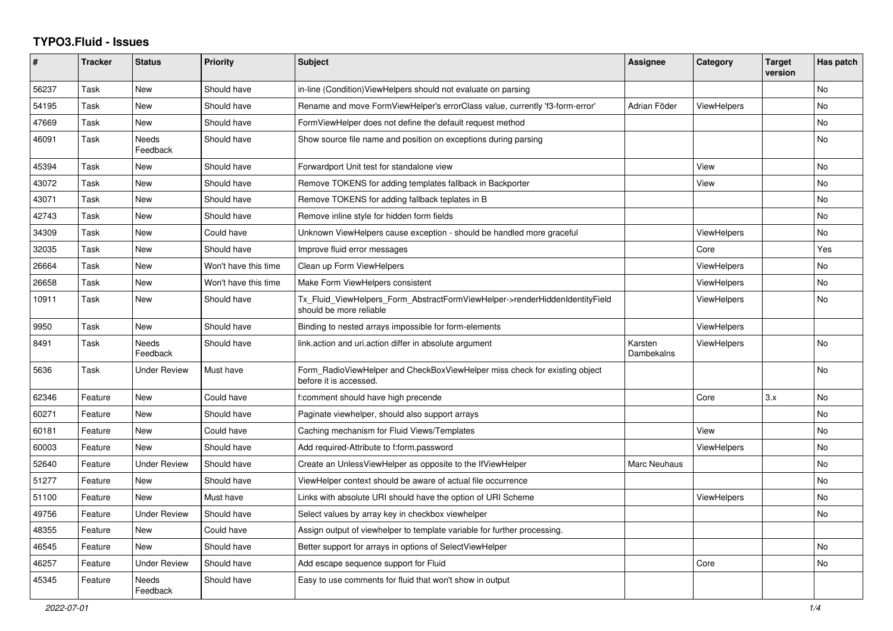## **TYPO3.Fluid - Issues**

| #     | <b>Tracker</b> | <b>Status</b>       | <b>Priority</b>      | <b>Subject</b>                                                                                         | Assignee              | Category           | <b>Target</b><br>version | Has patch |
|-------|----------------|---------------------|----------------------|--------------------------------------------------------------------------------------------------------|-----------------------|--------------------|--------------------------|-----------|
| 56237 | Task           | New                 | Should have          | in-line (Condition) ViewHelpers should not evaluate on parsing                                         |                       |                    |                          | <b>No</b> |
| 54195 | Task           | New                 | Should have          | Rename and move FormViewHelper's errorClass value, currently 'f3-form-error'                           | Adrian Föder          | <b>ViewHelpers</b> |                          | No        |
| 47669 | Task           | New                 | Should have          | FormViewHelper does not define the default request method                                              |                       |                    |                          | No        |
| 46091 | Task           | Needs<br>Feedback   | Should have          | Show source file name and position on exceptions during parsing                                        |                       |                    |                          | No        |
| 45394 | Task           | New                 | Should have          | Forwardport Unit test for standalone view                                                              |                       | View               |                          | No        |
| 43072 | Task           | New                 | Should have          | Remove TOKENS for adding templates fallback in Backporter                                              |                       | View               |                          | <b>No</b> |
| 43071 | Task           | New                 | Should have          | Remove TOKENS for adding fallback teplates in B                                                        |                       |                    |                          | <b>No</b> |
| 42743 | Task           | New                 | Should have          | Remove inline style for hidden form fields                                                             |                       |                    |                          | No.       |
| 34309 | Task           | New                 | Could have           | Unknown ViewHelpers cause exception - should be handled more graceful                                  |                       | ViewHelpers        |                          | No        |
| 32035 | Task           | New                 | Should have          | Improve fluid error messages                                                                           |                       | Core               |                          | Yes       |
| 26664 | Task           | New                 | Won't have this time | Clean up Form ViewHelpers                                                                              |                       | <b>ViewHelpers</b> |                          | <b>No</b> |
| 26658 | Task           | <b>New</b>          | Won't have this time | Make Form ViewHelpers consistent                                                                       |                       | <b>ViewHelpers</b> |                          | No        |
| 10911 | Task           | New                 | Should have          | Tx_Fluid_ViewHelpers_Form_AbstractFormViewHelper->renderHiddenIdentityField<br>should be more reliable |                       | ViewHelpers        |                          | No        |
| 9950  | Task           | New                 | Should have          | Binding to nested arrays impossible for form-elements                                                  |                       | ViewHelpers        |                          |           |
| 8491  | Task           | Needs<br>Feedback   | Should have          | link.action and uri.action differ in absolute argument                                                 | Karsten<br>Dambekalns | <b>ViewHelpers</b> |                          | <b>No</b> |
| 5636  | Task           | Under Review        | Must have            | Form_RadioViewHelper and CheckBoxViewHelper miss check for existing object<br>before it is accessed.   |                       |                    |                          | No        |
| 62346 | Feature        | New                 | Could have           | f:comment should have high precende                                                                    |                       | Core               | 3.x                      | <b>No</b> |
| 60271 | Feature        | New                 | Should have          | Paginate viewhelper, should also support arrays                                                        |                       |                    |                          | <b>No</b> |
| 60181 | Feature        | <b>New</b>          | Could have           | Caching mechanism for Fluid Views/Templates                                                            |                       | View               |                          | <b>No</b> |
| 60003 | Feature        | New                 | Should have          | Add required-Attribute to f:form.password                                                              |                       | ViewHelpers        |                          | No        |
| 52640 | Feature        | <b>Under Review</b> | Should have          | Create an UnlessViewHelper as opposite to the IfViewHelper                                             | Marc Neuhaus          |                    |                          | No        |
| 51277 | Feature        | New                 | Should have          | ViewHelper context should be aware of actual file occurrence                                           |                       |                    |                          | <b>No</b> |
| 51100 | Feature        | <b>New</b>          | Must have            | Links with absolute URI should have the option of URI Scheme                                           |                       | <b>ViewHelpers</b> |                          | No        |
| 49756 | Feature        | Under Review        | Should have          | Select values by array key in checkbox viewhelper                                                      |                       |                    |                          | No        |
| 48355 | Feature        | New                 | Could have           | Assign output of viewhelper to template variable for further processing.                               |                       |                    |                          |           |
| 46545 | Feature        | New                 | Should have          | Better support for arrays in options of SelectViewHelper                                               |                       |                    |                          | No        |
| 46257 | Feature        | <b>Under Review</b> | Should have          | Add escape sequence support for Fluid                                                                  |                       | Core               |                          | <b>No</b> |
| 45345 | Feature        | Needs<br>Feedback   | Should have          | Easy to use comments for fluid that won't show in output                                               |                       |                    |                          |           |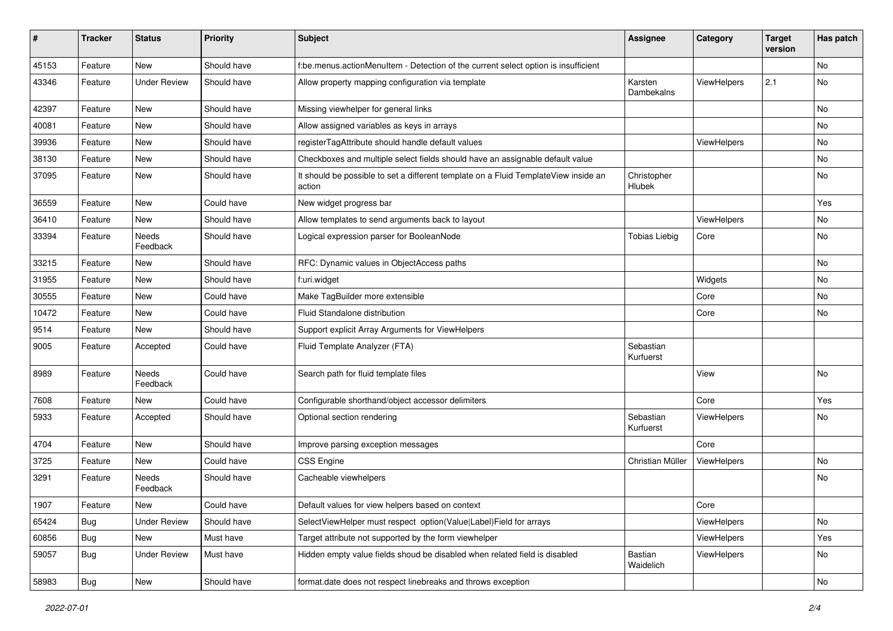| #     | <b>Tracker</b> | <b>Status</b>       | <b>Priority</b> | Subject                                                                                       | Assignee               | Category    | <b>Target</b><br>version | Has patch |
|-------|----------------|---------------------|-----------------|-----------------------------------------------------------------------------------------------|------------------------|-------------|--------------------------|-----------|
| 45153 | Feature        | New                 | Should have     | f:be.menus.actionMenuItem - Detection of the current select option is insufficient            |                        |             |                          | No        |
| 43346 | Feature        | <b>Under Review</b> | Should have     | Allow property mapping configuration via template                                             | Karsten<br>Dambekalns  | ViewHelpers | 2.1                      | No        |
| 42397 | Feature        | New                 | Should have     | Missing viewhelper for general links                                                          |                        |             |                          | <b>No</b> |
| 40081 | Feature        | New                 | Should have     | Allow assigned variables as keys in arrays                                                    |                        |             |                          | No        |
| 39936 | Feature        | New                 | Should have     | registerTagAttribute should handle default values                                             |                        | ViewHelpers |                          | No        |
| 38130 | Feature        | New                 | Should have     | Checkboxes and multiple select fields should have an assignable default value                 |                        |             |                          | No        |
| 37095 | Feature        | New                 | Should have     | It should be possible to set a different template on a Fluid TemplateView inside an<br>action | Christopher<br>Hlubek  |             |                          | No        |
| 36559 | Feature        | New                 | Could have      | New widget progress bar                                                                       |                        |             |                          | Yes       |
| 36410 | Feature        | New                 | Should have     | Allow templates to send arguments back to layout                                              |                        | ViewHelpers |                          | No        |
| 33394 | Feature        | Needs<br>Feedback   | Should have     | Logical expression parser for BooleanNode                                                     | <b>Tobias Liebig</b>   | Core        |                          | No        |
| 33215 | Feature        | New                 | Should have     | RFC: Dynamic values in ObjectAccess paths                                                     |                        |             |                          | No        |
| 31955 | Feature        | New                 | Should have     | f:uri.widget                                                                                  |                        | Widgets     |                          | No        |
| 30555 | Feature        | New                 | Could have      | Make TagBuilder more extensible                                                               |                        | Core        |                          | No        |
| 10472 | Feature        | New                 | Could have      | Fluid Standalone distribution                                                                 |                        | Core        |                          | No        |
| 9514  | Feature        | New                 | Should have     | Support explicit Array Arguments for ViewHelpers                                              |                        |             |                          |           |
| 9005  | Feature        | Accepted            | Could have      | Fluid Template Analyzer (FTA)                                                                 | Sebastian<br>Kurfuerst |             |                          |           |
| 8989  | Feature        | Needs<br>Feedback   | Could have      | Search path for fluid template files                                                          |                        | View        |                          | No        |
| 7608  | Feature        | New                 | Could have      | Configurable shorthand/object accessor delimiters                                             |                        | Core        |                          | Yes       |
| 5933  | Feature        | Accepted            | Should have     | Optional section rendering                                                                    | Sebastian<br>Kurfuerst | ViewHelpers |                          | No        |
| 4704  | Feature        | New                 | Should have     | Improve parsing exception messages                                                            |                        | Core        |                          |           |
| 3725  | Feature        | New                 | Could have      | <b>CSS Engine</b>                                                                             | Christian Müller       | ViewHelpers |                          | No        |
| 3291  | Feature        | Needs<br>Feedback   | Should have     | Cacheable viewhelpers                                                                         |                        |             |                          | No        |
| 1907  | Feature        | New                 | Could have      | Default values for view helpers based on context                                              |                        | Core        |                          |           |
| 65424 | <b>Bug</b>     | Under Review        | Should have     | SelectViewHelper must respect option(Value Label)Field for arrays                             |                        | ViewHelpers |                          | No        |
| 60856 | Bug            | New                 | Must have       | Target attribute not supported by the form viewhelper                                         |                        | ViewHelpers |                          | Yes       |
| 59057 | Bug            | <b>Under Review</b> | Must have       | Hidden empty value fields shoud be disabled when related field is disabled                    | Bastian<br>Waidelich   | ViewHelpers |                          | No        |
| 58983 | <b>Bug</b>     | New                 | Should have     | format.date does not respect linebreaks and throws exception                                  |                        |             |                          | No        |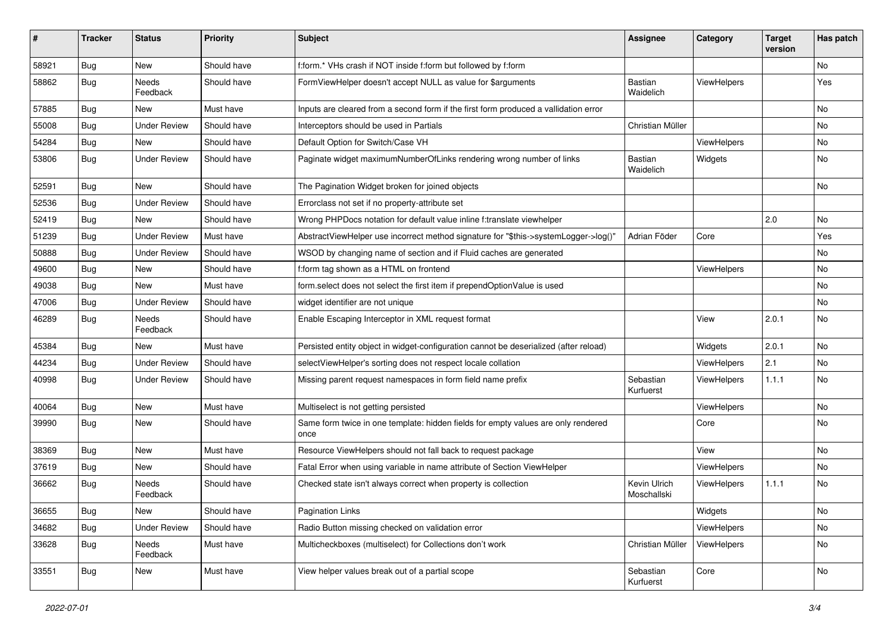| ∦     | <b>Tracker</b> | <b>Status</b>            | Priority    | Subject                                                                                   | <b>Assignee</b>             | Category           | <b>Target</b><br>version | Has patch |
|-------|----------------|--------------------------|-------------|-------------------------------------------------------------------------------------------|-----------------------------|--------------------|--------------------------|-----------|
| 58921 | Bug            | New                      | Should have | f:form.* VHs crash if NOT inside f:form but followed by f:form                            |                             |                    |                          | <b>No</b> |
| 58862 | Bug            | <b>Needs</b><br>Feedback | Should have | FormViewHelper doesn't accept NULL as value for \$arguments                               | Bastian<br>Waidelich        | <b>ViewHelpers</b> |                          | Yes       |
| 57885 | Bug            | <b>New</b>               | Must have   | Inputs are cleared from a second form if the first form produced a vallidation error      |                             |                    |                          | <b>No</b> |
| 55008 | Bug            | <b>Under Review</b>      | Should have | Interceptors should be used in Partials                                                   | Christian Müller            |                    |                          | No        |
| 54284 | Bug            | New                      | Should have | Default Option for Switch/Case VH                                                         |                             | ViewHelpers        |                          | No        |
| 53806 | Bug            | <b>Under Review</b>      | Should have | Paginate widget maximumNumberOfLinks rendering wrong number of links                      | Bastian<br>Waidelich        | Widgets            |                          | No        |
| 52591 | Bug            | <b>New</b>               | Should have | The Pagination Widget broken for joined objects                                           |                             |                    |                          | No        |
| 52536 | Bug            | <b>Under Review</b>      | Should have | Errorclass not set if no property-attribute set                                           |                             |                    |                          |           |
| 52419 | Bug            | New                      | Should have | Wrong PHPDocs notation for default value inline f:translate viewhelper                    |                             |                    | 2.0                      | No        |
| 51239 | Bug            | <b>Under Review</b>      | Must have   | AbstractViewHelper use incorrect method signature for "\$this->systemLogger->log()"       | Adrian Föder                | Core               |                          | Yes       |
| 50888 | Bug            | <b>Under Review</b>      | Should have | WSOD by changing name of section and if Fluid caches are generated                        |                             |                    |                          | No        |
| 49600 | Bug            | <b>New</b>               | Should have | f:form tag shown as a HTML on frontend                                                    |                             | ViewHelpers        |                          | <b>No</b> |
| 49038 | Bug            | New                      | Must have   | form select does not select the first item if prependOptionValue is used                  |                             |                    |                          | No        |
| 47006 | Bug            | <b>Under Review</b>      | Should have | widget identifier are not unique                                                          |                             |                    |                          | No        |
| 46289 | Bug            | <b>Needs</b><br>Feedback | Should have | Enable Escaping Interceptor in XML request format                                         |                             | View               | 2.0.1                    | <b>No</b> |
| 45384 | Bug            | New                      | Must have   | Persisted entity object in widget-configuration cannot be deserialized (after reload)     |                             | Widgets            | 2.0.1                    | <b>No</b> |
| 44234 | Bug            | <b>Under Review</b>      | Should have | selectViewHelper's sorting does not respect locale collation                              |                             | ViewHelpers        | 2.1                      | No        |
| 40998 | Bug            | <b>Under Review</b>      | Should have | Missing parent request namespaces in form field name prefix                               | Sebastian<br>Kurfuerst      | ViewHelpers        | 1.1.1                    | No        |
| 40064 | Bug            | New                      | Must have   | Multiselect is not getting persisted                                                      |                             | ViewHelpers        |                          | No        |
| 39990 | Bug            | New                      | Should have | Same form twice in one template: hidden fields for empty values are only rendered<br>once |                             | Core               |                          | No        |
| 38369 | Bug            | <b>New</b>               | Must have   | Resource ViewHelpers should not fall back to request package                              |                             | View               |                          | No        |
| 37619 | Bug            | New                      | Should have | Fatal Error when using variable in name attribute of Section ViewHelper                   |                             | ViewHelpers        |                          | No        |
| 36662 | <b>Bug</b>     | Needs<br>Feedback        | Should have | Checked state isn't always correct when property is collection                            | Kevin Ulrich<br>Moschallski | ViewHelpers        | 1.1.1                    | <b>No</b> |
| 36655 | <b>Bug</b>     | New                      | Should have | <b>Pagination Links</b>                                                                   |                             | Widgets            |                          | No        |
| 34682 | <b>Bug</b>     | <b>Under Review</b>      | Should have | Radio Button missing checked on validation error                                          |                             | ViewHelpers        |                          | No        |
| 33628 | <b>Bug</b>     | Needs<br>Feedback        | Must have   | Multicheckboxes (multiselect) for Collections don't work                                  | Christian Müller            | ViewHelpers        |                          | No        |
| 33551 | <b>Bug</b>     | New                      | Must have   | View helper values break out of a partial scope                                           | Sebastian<br>Kurfuerst      | Core               |                          | No        |